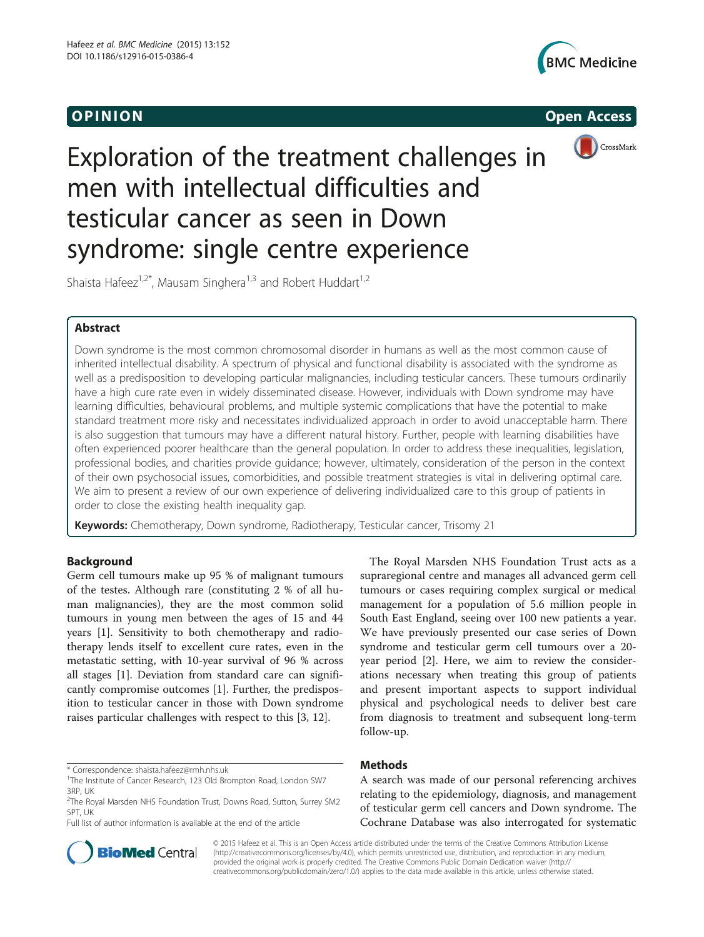





# Exploration of the treatment challenges in men with intellectual difficulties and testicular cancer as seen in Down syndrome: single centre experience

Shaista Hafeez<sup>1,2\*</sup>, Mausam Singhera<sup>1,3</sup> and Robert Huddart<sup>1,2</sup>

# Abstract

Down syndrome is the most common chromosomal disorder in humans as well as the most common cause of inherited intellectual disability. A spectrum of physical and functional disability is associated with the syndrome as well as a predisposition to developing particular malignancies, including testicular cancers. These tumours ordinarily have a high cure rate even in widely disseminated disease. However, individuals with Down syndrome may have learning difficulties, behavioural problems, and multiple systemic complications that have the potential to make standard treatment more risky and necessitates individualized approach in order to avoid unacceptable harm. There is also suggestion that tumours may have a different natural history. Further, people with learning disabilities have often experienced poorer healthcare than the general population. In order to address these inequalities, legislation, professional bodies, and charities provide guidance; however, ultimately, consideration of the person in the context of their own psychosocial issues, comorbidities, and possible treatment strategies is vital in delivering optimal care. We aim to present a review of our own experience of delivering individualized care to this group of patients in order to close the existing health inequality gap.

Keywords: Chemotherapy, Down syndrome, Radiotherapy, Testicular cancer, Trisomy 21

# Background

Germ cell tumours make up 95 % of malignant tumours of the testes. Although rare (constituting 2 % of all human malignancies), they are the most common solid tumours in young men between the ages of 15 and 44 years [\[1](#page-5-0)]. Sensitivity to both chemotherapy and radiotherapy lends itself to excellent cure rates, even in the metastatic setting, with 10-year survival of 96 % across all stages [[1\]](#page-5-0). Deviation from standard care can significantly compromise outcomes [\[1](#page-5-0)]. Further, the predisposition to testicular cancer in those with Down syndrome raises particular challenges with respect to this [\[3](#page-5-0), [12](#page-5-0)].

\* Correspondence: [shaista.hafeez@rmh.nhs.uk](mailto:shaista.hafeez@rmh.nhs.uk) <sup>1</sup>

Full list of author information is available at the end of the article



# Methods

A search was made of our personal referencing archives relating to the epidemiology, diagnosis, and management of testicular germ cell cancers and Down syndrome. The Cochrane Database was also interrogated for systematic



© 2015 Hafeez et al. This is an Open Access article distributed under the terms of the Creative Commons Attribution License [\(http://creativecommons.org/licenses/by/4.0\)](http://creativecommons.org/licenses/by/4.0), which permits unrestricted use, distribution, and reproduction in any medium, provided the original work is properly credited. The Creative Commons Public Domain Dedication waiver [\(http://](http://creativecommons.org/publicdomain/zero/1.0/) [creativecommons.org/publicdomain/zero/1.0/\)](http://creativecommons.org/publicdomain/zero/1.0/) applies to the data made available in this article, unless otherwise stated.

<sup>&</sup>lt;sup>1</sup>The Institute of Cancer Research, 123 Old Brompton Road, London SW7 3RP, UK

<sup>&</sup>lt;sup>2</sup>The Royal Marsden NHS Foundation Trust, Downs Road, Sutton, Surrey SM2 5PT, UK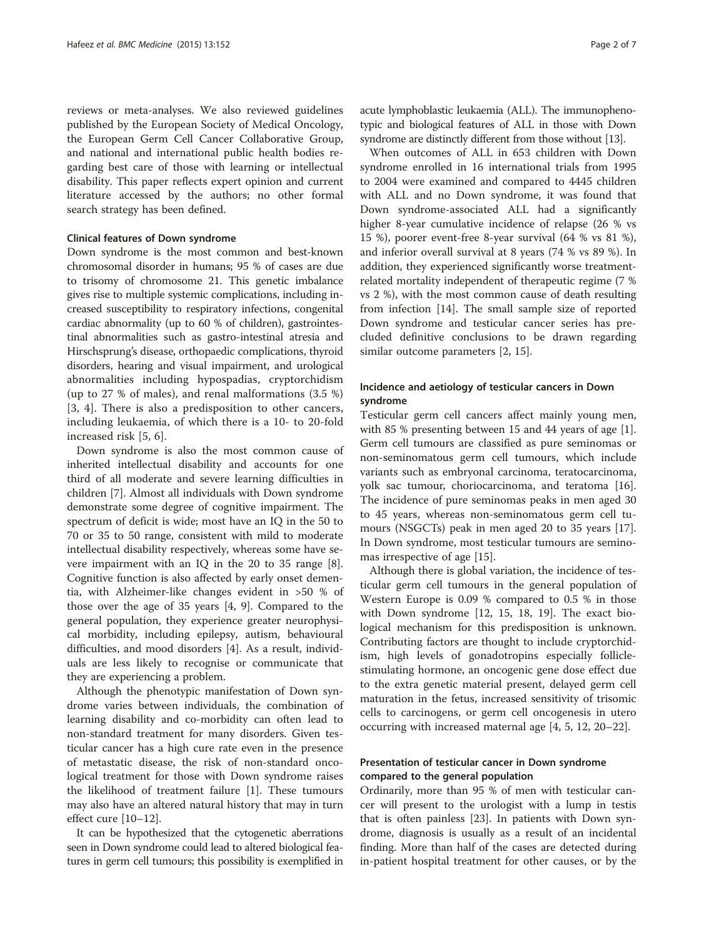reviews or meta-analyses. We also reviewed guidelines published by the European Society of Medical Oncology, the European Germ Cell Cancer Collaborative Group, and national and international public health bodies regarding best care of those with learning or intellectual disability. This paper reflects expert opinion and current literature accessed by the authors; no other formal search strategy has been defined.

# Clinical features of Down syndrome

Down syndrome is the most common and best-known chromosomal disorder in humans; 95 % of cases are due to trisomy of chromosome 21. This genetic imbalance gives rise to multiple systemic complications, including increased susceptibility to respiratory infections, congenital cardiac abnormality (up to 60 % of children), gastrointestinal abnormalities such as gastro-intestinal atresia and Hirschsprung's disease, orthopaedic complications, thyroid disorders, hearing and visual impairment, and urological abnormalities including hypospadias, cryptorchidism (up to 27 % of males), and renal malformations (3.5 %) [[3, 4](#page-5-0)]. There is also a predisposition to other cancers, including leukaemia, of which there is a 10- to 20-fold increased risk [\[5](#page-5-0), [6\]](#page-5-0).

Down syndrome is also the most common cause of inherited intellectual disability and accounts for one third of all moderate and severe learning difficulties in children [\[7](#page-5-0)]. Almost all individuals with Down syndrome demonstrate some degree of cognitive impairment. The spectrum of deficit is wide; most have an IQ in the 50 to 70 or 35 to 50 range, consistent with mild to moderate intellectual disability respectively, whereas some have severe impairment with an IQ in the 20 to 35 range [\[8](#page-5-0)]. Cognitive function is also affected by early onset dementia, with Alzheimer-like changes evident in >50 % of those over the age of 35 years [[4, 9\]](#page-5-0). Compared to the general population, they experience greater neurophysical morbidity, including epilepsy, autism, behavioural difficulties, and mood disorders [\[4](#page-5-0)]. As a result, individuals are less likely to recognise or communicate that they are experiencing a problem.

Although the phenotypic manifestation of Down syndrome varies between individuals, the combination of learning disability and co-morbidity can often lead to non-standard treatment for many disorders. Given testicular cancer has a high cure rate even in the presence of metastatic disease, the risk of non-standard oncological treatment for those with Down syndrome raises the likelihood of treatment failure [[1](#page-5-0)]. These tumours may also have an altered natural history that may in turn effect cure [[10](#page-5-0)–[12](#page-5-0)].

It can be hypothesized that the cytogenetic aberrations seen in Down syndrome could lead to altered biological features in germ cell tumours; this possibility is exemplified in acute lymphoblastic leukaemia (ALL). The immunophenotypic and biological features of ALL in those with Down syndrome are distinctly different from those without [\[13](#page-5-0)].

When outcomes of ALL in 653 children with Down syndrome enrolled in 16 international trials from 1995 to 2004 were examined and compared to 4445 children with ALL and no Down syndrome, it was found that Down syndrome-associated ALL had a significantly higher 8-year cumulative incidence of relapse (26 % vs 15 %), poorer event-free 8-year survival (64 % vs 81 %), and inferior overall survival at 8 years (74 % vs 89 %). In addition, they experienced significantly worse treatmentrelated mortality independent of therapeutic regime (7 % vs 2 %), with the most common cause of death resulting from infection [[14](#page-5-0)]. The small sample size of reported Down syndrome and testicular cancer series has precluded definitive conclusions to be drawn regarding similar outcome parameters [\[2](#page-5-0), [15](#page-5-0)].

# Incidence and aetiology of testicular cancers in Down syndrome

Testicular germ cell cancers affect mainly young men, with 85 % presenting between 15 and 44 years of age [\[1](#page-5-0)]. Germ cell tumours are classified as pure seminomas or non-seminomatous germ cell tumours, which include variants such as embryonal carcinoma, teratocarcinoma, yolk sac tumour, choriocarcinoma, and teratoma [\[16](#page-5-0)]. The incidence of pure seminomas peaks in men aged 30 to 45 years, whereas non-seminomatous germ cell tumours (NSGCTs) peak in men aged 20 to 35 years [\[17](#page-5-0)]. In Down syndrome, most testicular tumours are seminomas irrespective of age [\[15](#page-5-0)].

Although there is global variation, the incidence of testicular germ cell tumours in the general population of Western Europe is 0.09 % compared to 0.5 % in those with Down syndrome [[12, 15, 18](#page-5-0), [19](#page-5-0)]. The exact biological mechanism for this predisposition is unknown. Contributing factors are thought to include cryptorchidism, high levels of gonadotropins especially folliclestimulating hormone, an oncogenic gene dose effect due to the extra genetic material present, delayed germ cell maturation in the fetus, increased sensitivity of trisomic cells to carcinogens, or germ cell oncogenesis in utero occurring with increased maternal age [[4, 5, 12, 20](#page-5-0)–[22](#page-5-0)].

# Presentation of testicular cancer in Down syndrome compared to the general population

Ordinarily, more than 95 % of men with testicular cancer will present to the urologist with a lump in testis that is often painless [[23\]](#page-5-0). In patients with Down syndrome, diagnosis is usually as a result of an incidental finding. More than half of the cases are detected during in-patient hospital treatment for other causes, or by the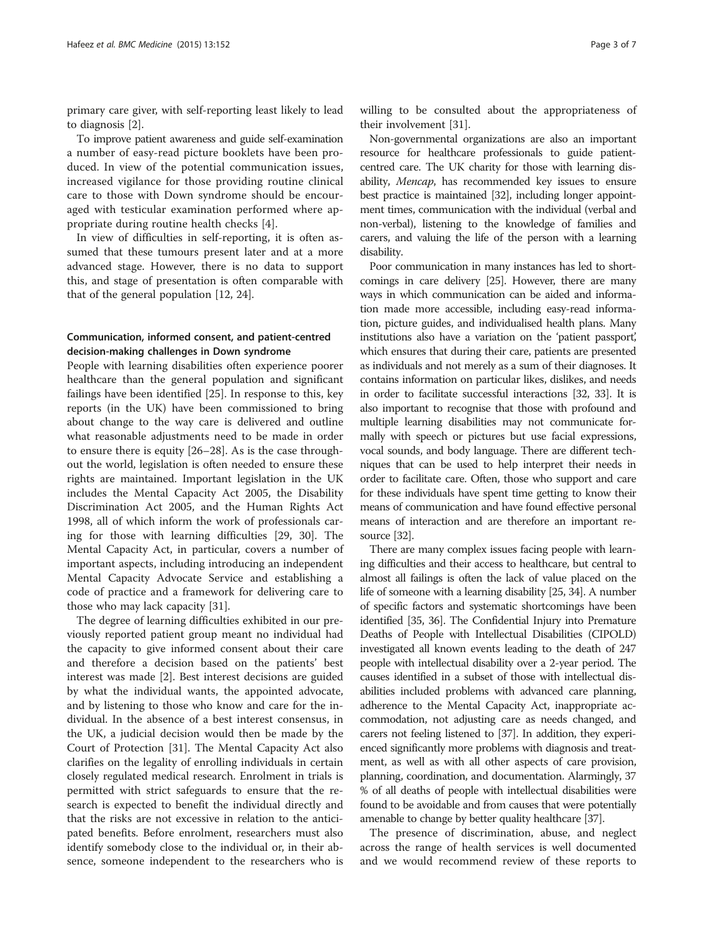primary care giver, with self-reporting least likely to lead to diagnosis [[2](#page-5-0)].

To improve patient awareness and guide self-examination a number of easy-read picture booklets have been produced. In view of the potential communication issues, increased vigilance for those providing routine clinical care to those with Down syndrome should be encouraged with testicular examination performed where appropriate during routine health checks [[4\]](#page-5-0).

In view of difficulties in self-reporting, it is often assumed that these tumours present later and at a more advanced stage. However, there is no data to support this, and stage of presentation is often comparable with that of the general population [\[12,](#page-5-0) [24\]](#page-6-0).

# Communication, informed consent, and patient-centred decision-making challenges in Down syndrome

People with learning disabilities often experience poorer healthcare than the general population and significant failings have been identified [[25\]](#page-6-0). In response to this, key reports (in the UK) have been commissioned to bring about change to the way care is delivered and outline what reasonable adjustments need to be made in order to ensure there is equity [[26](#page-6-0)–[28](#page-6-0)]. As is the case throughout the world, legislation is often needed to ensure these rights are maintained. Important legislation in the UK includes the Mental Capacity Act 2005, the Disability Discrimination Act 2005, and the Human Rights Act 1998, all of which inform the work of professionals caring for those with learning difficulties [\[29](#page-6-0), [30](#page-6-0)]. The Mental Capacity Act, in particular, covers a number of important aspects, including introducing an independent Mental Capacity Advocate Service and establishing a code of practice and a framework for delivering care to those who may lack capacity [[31\]](#page-6-0).

The degree of learning difficulties exhibited in our previously reported patient group meant no individual had the capacity to give informed consent about their care and therefore a decision based on the patients' best interest was made [\[2\]](#page-5-0). Best interest decisions are guided by what the individual wants, the appointed advocate, and by listening to those who know and care for the individual. In the absence of a best interest consensus, in the UK, a judicial decision would then be made by the Court of Protection [[31\]](#page-6-0). The Mental Capacity Act also clarifies on the legality of enrolling individuals in certain closely regulated medical research. Enrolment in trials is permitted with strict safeguards to ensure that the research is expected to benefit the individual directly and that the risks are not excessive in relation to the anticipated benefits. Before enrolment, researchers must also identify somebody close to the individual or, in their absence, someone independent to the researchers who is

willing to be consulted about the appropriateness of their involvement [\[31\]](#page-6-0).

Non-governmental organizations are also an important resource for healthcare professionals to guide patientcentred care. The UK charity for those with learning disability, Mencap, has recommended key issues to ensure best practice is maintained [[32](#page-6-0)], including longer appointment times, communication with the individual (verbal and non-verbal), listening to the knowledge of families and carers, and valuing the life of the person with a learning disability.

Poor communication in many instances has led to shortcomings in care delivery [\[25\]](#page-6-0). However, there are many ways in which communication can be aided and information made more accessible, including easy-read information, picture guides, and individualised health plans. Many institutions also have a variation on the 'patient passport', which ensures that during their care, patients are presented as individuals and not merely as a sum of their diagnoses. It contains information on particular likes, dislikes, and needs in order to facilitate successful interactions [[32, 33\]](#page-6-0). It is also important to recognise that those with profound and multiple learning disabilities may not communicate formally with speech or pictures but use facial expressions, vocal sounds, and body language. There are different techniques that can be used to help interpret their needs in order to facilitate care. Often, those who support and care for these individuals have spent time getting to know their means of communication and have found effective personal means of interaction and are therefore an important resource [\[32](#page-6-0)].

There are many complex issues facing people with learning difficulties and their access to healthcare, but central to almost all failings is often the lack of value placed on the life of someone with a learning disability [\[25, 34\]](#page-6-0). A number of specific factors and systematic shortcomings have been identified [[35](#page-6-0), [36](#page-6-0)]. The Confidential Injury into Premature Deaths of People with Intellectual Disabilities (CIPOLD) investigated all known events leading to the death of 247 people with intellectual disability over a 2-year period. The causes identified in a subset of those with intellectual disabilities included problems with advanced care planning, adherence to the Mental Capacity Act, inappropriate accommodation, not adjusting care as needs changed, and carers not feeling listened to [\[37\]](#page-6-0). In addition, they experienced significantly more problems with diagnosis and treatment, as well as with all other aspects of care provision, planning, coordination, and documentation. Alarmingly, 37 % of all deaths of people with intellectual disabilities were found to be avoidable and from causes that were potentially amenable to change by better quality healthcare [\[37\]](#page-6-0).

The presence of discrimination, abuse, and neglect across the range of health services is well documented and we would recommend review of these reports to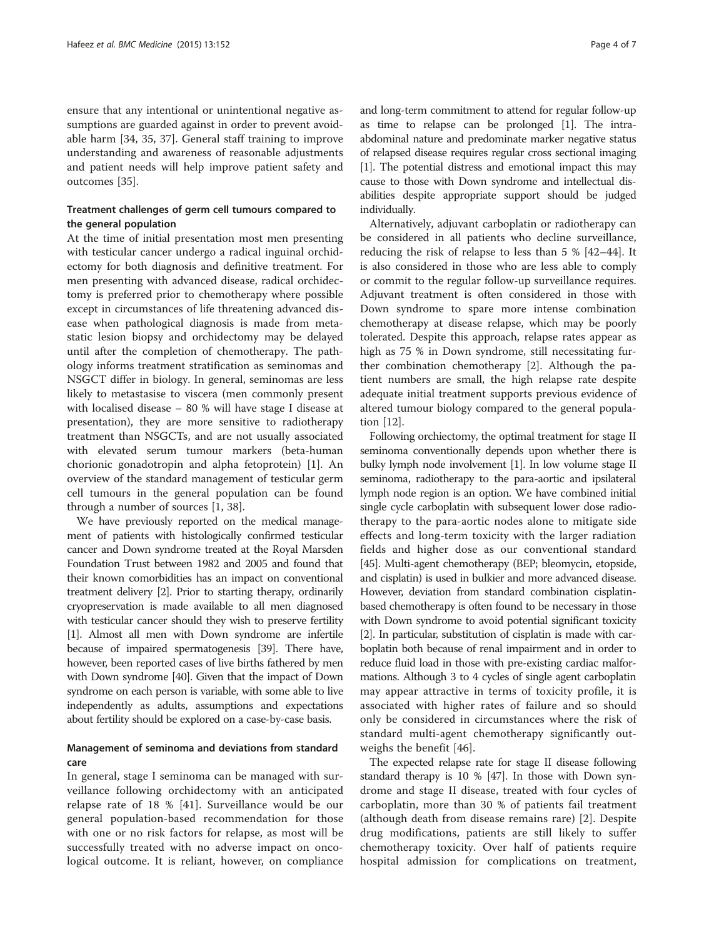ensure that any intentional or unintentional negative assumptions are guarded against in order to prevent avoidable harm [[34, 35, 37](#page-6-0)]. General staff training to improve understanding and awareness of reasonable adjustments and patient needs will help improve patient safety and outcomes [\[35](#page-6-0)].

# Treatment challenges of germ cell tumours compared to the general population

At the time of initial presentation most men presenting with testicular cancer undergo a radical inguinal orchidectomy for both diagnosis and definitive treatment. For men presenting with advanced disease, radical orchidectomy is preferred prior to chemotherapy where possible except in circumstances of life threatening advanced disease when pathological diagnosis is made from metastatic lesion biopsy and orchidectomy may be delayed until after the completion of chemotherapy. The pathology informs treatment stratification as seminomas and NSGCT differ in biology. In general, seminomas are less likely to metastasise to viscera (men commonly present with localised disease – 80 % will have stage I disease at presentation), they are more sensitive to radiotherapy treatment than NSGCTs, and are not usually associated with elevated serum tumour markers (beta-human chorionic gonadotropin and alpha fetoprotein) [\[1\]](#page-5-0). An overview of the standard management of testicular germ cell tumours in the general population can be found through a number of sources [\[1](#page-5-0), [38\]](#page-6-0).

We have previously reported on the medical management of patients with histologically confirmed testicular cancer and Down syndrome treated at the Royal Marsden Foundation Trust between 1982 and 2005 and found that their known comorbidities has an impact on conventional treatment delivery [[2](#page-5-0)]. Prior to starting therapy, ordinarily cryopreservation is made available to all men diagnosed with testicular cancer should they wish to preserve fertility [[1](#page-5-0)]. Almost all men with Down syndrome are infertile because of impaired spermatogenesis [\[39](#page-6-0)]. There have, however, been reported cases of live births fathered by men with Down syndrome [[40\]](#page-6-0). Given that the impact of Down syndrome on each person is variable, with some able to live independently as adults, assumptions and expectations about fertility should be explored on a case-by-case basis.

# Management of seminoma and deviations from standard care

In general, stage I seminoma can be managed with surveillance following orchidectomy with an anticipated relapse rate of 18 % [[41](#page-6-0)]. Surveillance would be our general population-based recommendation for those with one or no risk factors for relapse, as most will be successfully treated with no adverse impact on oncological outcome. It is reliant, however, on compliance

and long-term commitment to attend for regular follow-up as time to relapse can be prolonged [\[1\]](#page-5-0). The intraabdominal nature and predominate marker negative status of relapsed disease requires regular cross sectional imaging [[1](#page-5-0)]. The potential distress and emotional impact this may cause to those with Down syndrome and intellectual disabilities despite appropriate support should be judged individually.

Alternatively, adjuvant carboplatin or radiotherapy can be considered in all patients who decline surveillance, reducing the risk of relapse to less than 5 % [[42](#page-6-0)–[44](#page-6-0)]. It is also considered in those who are less able to comply or commit to the regular follow-up surveillance requires. Adjuvant treatment is often considered in those with Down syndrome to spare more intense combination chemotherapy at disease relapse, which may be poorly tolerated. Despite this approach, relapse rates appear as high as 75 % in Down syndrome, still necessitating further combination chemotherapy [[2\]](#page-5-0). Although the patient numbers are small, the high relapse rate despite adequate initial treatment supports previous evidence of altered tumour biology compared to the general population [\[12\]](#page-5-0).

Following orchiectomy, the optimal treatment for stage II seminoma conventionally depends upon whether there is bulky lymph node involvement [\[1\]](#page-5-0). In low volume stage II seminoma, radiotherapy to the para-aortic and ipsilateral lymph node region is an option. We have combined initial single cycle carboplatin with subsequent lower dose radiotherapy to the para-aortic nodes alone to mitigate side effects and long-term toxicity with the larger radiation fields and higher dose as our conventional standard [[45](#page-6-0)]. Multi-agent chemotherapy (BEP; bleomycin, etopside, and cisplatin) is used in bulkier and more advanced disease. However, deviation from standard combination cisplatinbased chemotherapy is often found to be necessary in those with Down syndrome to avoid potential significant toxicity [[2](#page-5-0)]. In particular, substitution of cisplatin is made with carboplatin both because of renal impairment and in order to reduce fluid load in those with pre-existing cardiac malformations. Although 3 to 4 cycles of single agent carboplatin may appear attractive in terms of toxicity profile, it is associated with higher rates of failure and so should only be considered in circumstances where the risk of standard multi-agent chemotherapy significantly outweighs the benefit [[46\]](#page-6-0).

The expected relapse rate for stage II disease following standard therapy is 10 % [\[47\]](#page-6-0). In those with Down syndrome and stage II disease, treated with four cycles of carboplatin, more than 30 % of patients fail treatment (although death from disease remains rare) [\[2](#page-5-0)]. Despite drug modifications, patients are still likely to suffer chemotherapy toxicity. Over half of patients require hospital admission for complications on treatment,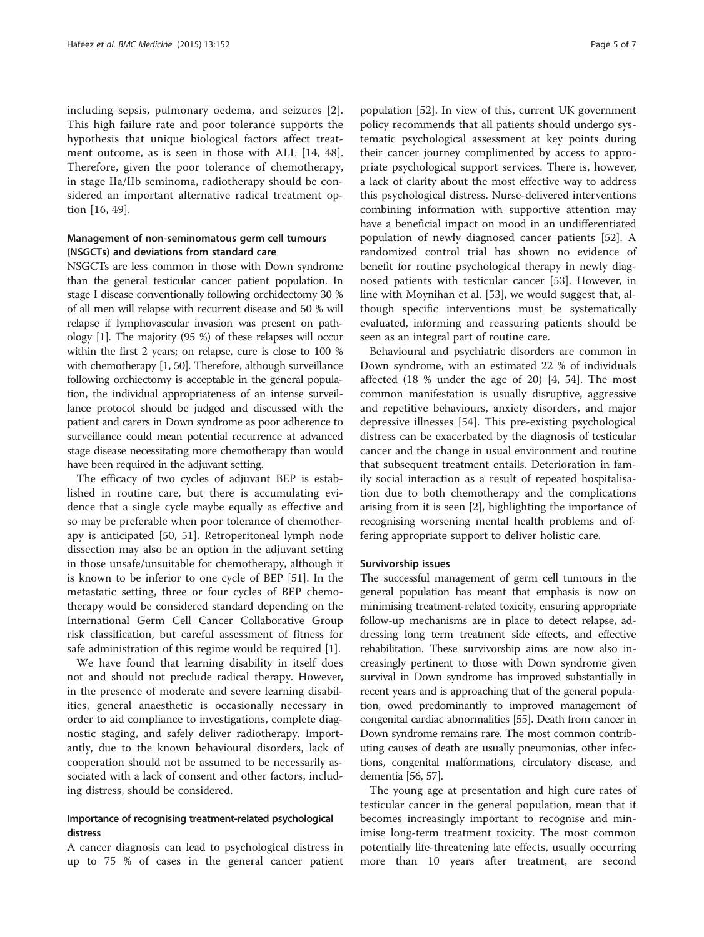including sepsis, pulmonary oedema, and seizures [[2](#page-5-0)]. This high failure rate and poor tolerance supports the hypothesis that unique biological factors affect treatment outcome, as is seen in those with ALL [[14,](#page-5-0) [48](#page-6-0)]. Therefore, given the poor tolerance of chemotherapy, in stage IIa/IIb seminoma, radiotherapy should be considered an important alternative radical treatment option [[16,](#page-5-0) [49\]](#page-6-0).

# Management of non-seminomatous germ cell tumours (NSGCTs) and deviations from standard care

NSGCTs are less common in those with Down syndrome than the general testicular cancer patient population. In stage I disease conventionally following orchidectomy 30 % of all men will relapse with recurrent disease and 50 % will relapse if lymphovascular invasion was present on pathology [\[1\]](#page-5-0). The majority (95 %) of these relapses will occur within the first 2 years; on relapse, cure is close to 100 % with chemotherapy [[1,](#page-5-0) [50\]](#page-6-0). Therefore, although surveillance following orchiectomy is acceptable in the general population, the individual appropriateness of an intense surveillance protocol should be judged and discussed with the patient and carers in Down syndrome as poor adherence to surveillance could mean potential recurrence at advanced stage disease necessitating more chemotherapy than would have been required in the adjuvant setting.

The efficacy of two cycles of adjuvant BEP is established in routine care, but there is accumulating evidence that a single cycle maybe equally as effective and so may be preferable when poor tolerance of chemotherapy is anticipated [[50](#page-6-0), [51\]](#page-6-0). Retroperitoneal lymph node dissection may also be an option in the adjuvant setting in those unsafe/unsuitable for chemotherapy, although it is known to be inferior to one cycle of BEP [[51](#page-6-0)]. In the metastatic setting, three or four cycles of BEP chemotherapy would be considered standard depending on the International Germ Cell Cancer Collaborative Group risk classification, but careful assessment of fitness for safe administration of this regime would be required [\[1](#page-5-0)].

We have found that learning disability in itself does not and should not preclude radical therapy. However, in the presence of moderate and severe learning disabilities, general anaesthetic is occasionally necessary in order to aid compliance to investigations, complete diagnostic staging, and safely deliver radiotherapy. Importantly, due to the known behavioural disorders, lack of cooperation should not be assumed to be necessarily associated with a lack of consent and other factors, including distress, should be considered.

# Importance of recognising treatment-related psychological distress

A cancer diagnosis can lead to psychological distress in up to 75 % of cases in the general cancer patient

population [\[52](#page-6-0)]. In view of this, current UK government policy recommends that all patients should undergo systematic psychological assessment at key points during their cancer journey complimented by access to appropriate psychological support services. There is, however, a lack of clarity about the most effective way to address this psychological distress. Nurse-delivered interventions combining information with supportive attention may have a beneficial impact on mood in an undifferentiated population of newly diagnosed cancer patients [[52\]](#page-6-0). A randomized control trial has shown no evidence of benefit for routine psychological therapy in newly diagnosed patients with testicular cancer [\[53](#page-6-0)]. However, in line with Moynihan et al. [[53\]](#page-6-0), we would suggest that, although specific interventions must be systematically evaluated, informing and reassuring patients should be seen as an integral part of routine care.

Behavioural and psychiatric disorders are common in Down syndrome, with an estimated 22 % of individuals affected (18 % under the age of 20) [[4,](#page-5-0) [54\]](#page-6-0). The most common manifestation is usually disruptive, aggressive and repetitive behaviours, anxiety disorders, and major depressive illnesses [[54\]](#page-6-0). This pre-existing psychological distress can be exacerbated by the diagnosis of testicular cancer and the change in usual environment and routine that subsequent treatment entails. Deterioration in family social interaction as a result of repeated hospitalisation due to both chemotherapy and the complications arising from it is seen [\[2\]](#page-5-0), highlighting the importance of recognising worsening mental health problems and offering appropriate support to deliver holistic care.

## Survivorship issues

The successful management of germ cell tumours in the general population has meant that emphasis is now on minimising treatment-related toxicity, ensuring appropriate follow-up mechanisms are in place to detect relapse, addressing long term treatment side effects, and effective rehabilitation. These survivorship aims are now also increasingly pertinent to those with Down syndrome given survival in Down syndrome has improved substantially in recent years and is approaching that of the general population, owed predominantly to improved management of congenital cardiac abnormalities [\[55](#page-6-0)]. Death from cancer in Down syndrome remains rare. The most common contributing causes of death are usually pneumonias, other infections, congenital malformations, circulatory disease, and dementia [[56, 57](#page-6-0)].

The young age at presentation and high cure rates of testicular cancer in the general population, mean that it becomes increasingly important to recognise and minimise long-term treatment toxicity. The most common potentially life-threatening late effects, usually occurring more than 10 years after treatment, are second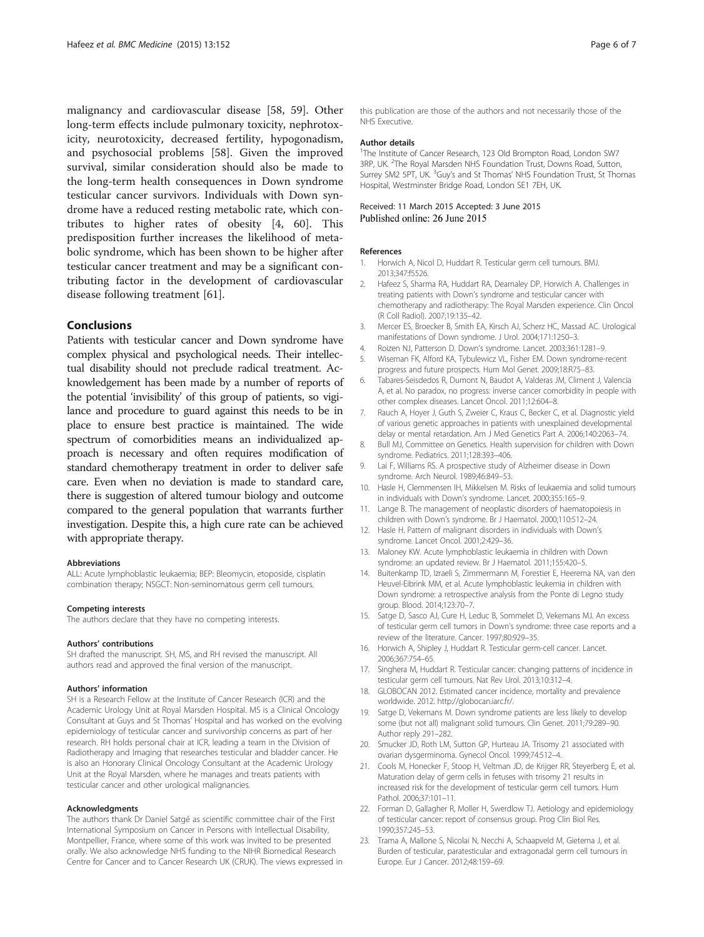<span id="page-5-0"></span>malignancy and cardiovascular disease [[58, 59\]](#page-6-0). Other long-term effects include pulmonary toxicity, nephrotoxicity, neurotoxicity, decreased fertility, hypogonadism, and psychosocial problems [[58\]](#page-6-0). Given the improved survival, similar consideration should also be made to the long-term health consequences in Down syndrome testicular cancer survivors. Individuals with Down syndrome have a reduced resting metabolic rate, which contributes to higher rates of obesity [4, [60\]](#page-6-0). This predisposition further increases the likelihood of metabolic syndrome, which has been shown to be higher after testicular cancer treatment and may be a significant contributing factor in the development of cardiovascular disease following treatment [\[61\]](#page-6-0).

# Conclusions

Patients with testicular cancer and Down syndrome have complex physical and psychological needs. Their intellectual disability should not preclude radical treatment. Acknowledgement has been made by a number of reports of the potential 'invisibility' of this group of patients, so vigilance and procedure to guard against this needs to be in place to ensure best practice is maintained. The wide spectrum of comorbidities means an individualized approach is necessary and often requires modification of standard chemotherapy treatment in order to deliver safe care. Even when no deviation is made to standard care, there is suggestion of altered tumour biology and outcome compared to the general population that warrants further investigation. Despite this, a high cure rate can be achieved with appropriate therapy.

#### **Abbreviations**

ALL: Acute lymphoblastic leukaemia; BEP: Bleomycin, etoposide, cisplatin combination therapy; NSGCT: Non-seminomatous germ cell tumours.

#### Competing interests

The authors declare that they have no competing interests.

#### Authors' contributions

SH drafted the manuscript. SH, MS, and RH revised the manuscript. All authors read and approved the final version of the manuscript.

#### Authors' information

SH is a Research Fellow at the Institute of Cancer Research (ICR) and the Academic Urology Unit at Royal Marsden Hospital. MS is a Clinical Oncology Consultant at Guys and St Thomas' Hospital and has worked on the evolving epidemiology of testicular cancer and survivorship concerns as part of her research. RH holds personal chair at ICR, leading a team in the Division of Radiotherapy and Imaging that researches testicular and bladder cancer. He is also an Honorary Clinical Oncology Consultant at the Academic Urology Unit at the Royal Marsden, where he manages and treats patients with testicular cancer and other urological malignancies.

#### Acknowledgments

The authors thank Dr Daniel Satgé as scientific committee chair of the First International Symposium on Cancer in Persons with Intellectual Disability, Montpellier, France, where some of this work was invited to be presented orally. We also acknowledge NHS funding to the NIHR Biomedical Research Centre for Cancer and to Cancer Research UK (CRUK). The views expressed in

this publication are those of the authors and not necessarily those of the NHS Executive.

#### Author details

<sup>1</sup>The Institute of Cancer Research, 123 Old Brompton Road, London SW7 3RP, UK. <sup>2</sup>The Royal Marsden NHS Foundation Trust, Downs Road, Sutton, Surrey SM2 5PT, UK. <sup>3</sup>Guy's and St Thomas' NHS Foundation Trust, St Thomas Hospital, Westminster Bridge Road, London SE1 7EH, UK.

### Received: 11 March 2015 Accepted: 3 June 2015 Published online: 26 June 2015

#### References

- 1. Horwich A, Nicol D, Huddart R. Testicular germ cell tumours. BMJ. 2013;347:f5526.
- 2. Hafeez S, Sharma RA, Huddart RA, Dearnaley DP, Horwich A. Challenges in treating patients with Down's syndrome and testicular cancer with chemotherapy and radiotherapy: The Royal Marsden experience. Clin Oncol (R Coll Radiol). 2007;19:135–42.
- 3. Mercer ES, Broecker B, Smith EA, Kirsch AJ, Scherz HC, Massad AC. Urological manifestations of Down syndrome. J Urol. 2004;171:1250–3.
- 4. Roizen NJ, Patterson D. Down's syndrome. Lancet. 2003;361:1281–9.
- 5. Wiseman FK, Alford KA, Tybulewicz VL, Fisher EM. Down syndrome-recent progress and future prospects. Hum Mol Genet. 2009;18:R75–83.
- 6. Tabares-Seisdedos R, Dumont N, Baudot A, Valderas JM, Climent J, Valencia A, et al. No paradox, no progress: inverse cancer comorbidity in people with other complex diseases. Lancet Oncol. 2011;12:604–8.
- 7. Rauch A, Hoyer J, Guth S, Zweier C, Kraus C, Becker C, et al. Diagnostic yield of various genetic approaches in patients with unexplained developmental delay or mental retardation. Am J Med Genetics Part A. 2006;140:2063–74.
- 8. Bull MJ, Committee on Genetics. Health supervision for children with Down syndrome. Pediatrics. 2011;128:393–406.
- 9. Lai F, Williams RS. A prospective study of Alzheimer disease in Down syndrome. Arch Neurol. 1989;46:849–53.
- 10. Hasle H, Clemmensen IH, Mikkelsen M. Risks of leukaemia and solid tumours in individuals with Down's syndrome. Lancet. 2000;355:165–9.
- 11. Lange B. The management of neoplastic disorders of haematopoiesis in children with Down's syndrome. Br J Haematol. 2000;110:512–24.
- 12. Hasle H. Pattern of malignant disorders in individuals with Down's syndrome. Lancet Oncol. 2001;2:429–36.
- 13. Maloney KW. Acute lymphoblastic leukaemia in children with Down syndrome: an updated review. Br J Haematol. 2011;155:420–5.
- 14. Buitenkamp TD, Izraeli S, Zimmermann M, Forestier E, Heerema NA, van den Heuvel-Eibrink MM, et al. Acute lymphoblastic leukemia in children with Down syndrome: a retrospective analysis from the Ponte di Legno study group. Blood. 2014;123:70–7.
- 15. Satge D, Sasco AJ, Cure H, Leduc B, Sommelet D, Vekemans MJ. An excess of testicular germ cell tumors in Down's syndrome: three case reports and a review of the literature. Cancer. 1997;80:929–35.
- 16. Horwich A, Shipley J, Huddart R. Testicular germ-cell cancer. Lancet. 2006;367:754–65.
- 17. Singhera M, Huddart R. Testicular cancer: changing patterns of incidence in testicular germ cell tumours. Nat Rev Urol. 2013;10:312–4.
- 18. GLOBOCAN 2012. Estimated cancer incidence, mortality and prevalence worldwide. 2012. [http://globocan.iarc.fr/.](http://globocan.iarc.fr/)
- 19. Satge D, Vekemans M. Down syndrome patients are less likely to develop some (but not all) malignant solid tumours. Clin Genet. 2011;79:289–90. Author reply 291–282.
- 20. Smucker JD, Roth LM, Sutton GP, Hurteau JA. Trisomy 21 associated with ovarian dysgerminoma. Gynecol Oncol. 1999;74:512–4.
- 21. Cools M, Honecker F, Stoop H, Veltman JD, de Krijger RR, Steyerberg E, et al. Maturation delay of germ cells in fetuses with trisomy 21 results in increased risk for the development of testicular germ cell tumors. Hum Pathol. 2006;37:101–11.
- 22. Forman D, Gallagher R, Moller H, Swerdlow TJ. Aetiology and epidemiology of testicular cancer: report of consensus group. Prog Clin Biol Res. 1990;357:245–53.
- 23. Trama A, Mallone S, Nicolai N, Necchi A, Schaapveld M, Gietema J, et al. Burden of testicular, paratesticular and extragonadal germ cell tumours in Europe. Eur J Cancer. 2012;48:159–69.